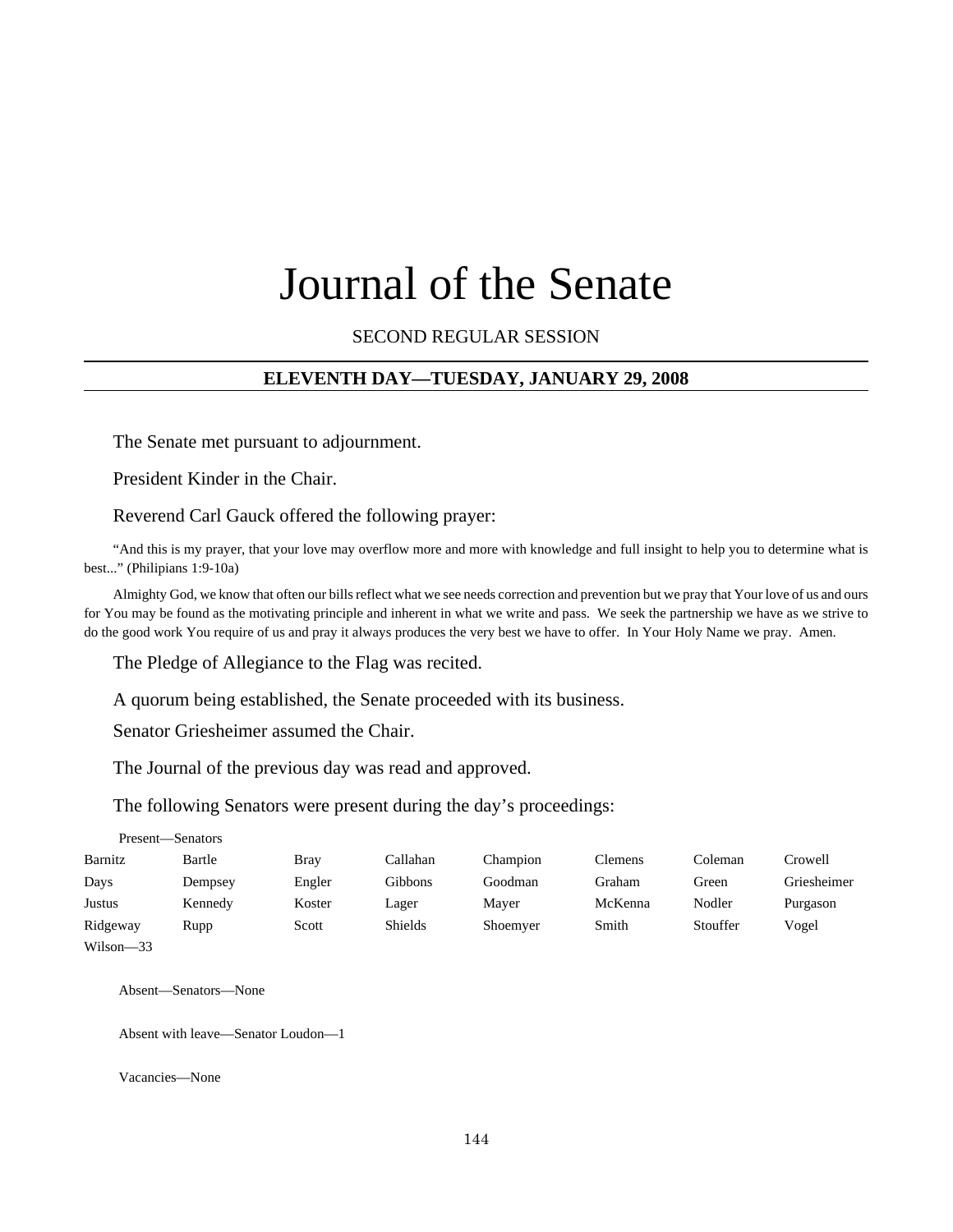# Journal of the Senate

SECOND REGULAR SESSION

# **ELEVENTH DAY—TUESDAY, JANUARY 29, 2008**

The Senate met pursuant to adjournment.

President Kinder in the Chair.

Reverend Carl Gauck offered the following prayer:

"And this is my prayer, that your love may overflow more and more with knowledge and full insight to help you to determine what is best..." (Philipians 1:9-10a)

Almighty God, we know that often our bills reflect what we see needs correction and prevention but we pray that Your love of us and ours for You may be found as the motivating principle and inherent in what we write and pass. We seek the partnership we have as we strive to do the good work You require of us and pray it always produces the very best we have to offer. In Your Holy Name we pray. Amen.

The Pledge of Allegiance to the Flag was recited.

A quorum being established, the Senate proceeded with its business.

Senator Griesheimer assumed the Chair.

The Journal of the previous day was read and approved.

The following Senators were present during the day's proceedings:

|           | Present—Senators |        |                |          |         |          |             |
|-----------|------------------|--------|----------------|----------|---------|----------|-------------|
| Barnitz   | Bartle           | Brav   | Callahan       | Champion | Clemens | Coleman  | Crowell     |
| Days      | Dempsey          | Engler | Gibbons        | Goodman  | Graham  | Green    | Griesheimer |
| Justus    | Kennedy          | Koster | Lager          | Mayer    | McKenna | Nodler   | Purgason    |
| Ridgeway  | Rupp             | Scott  | <b>Shields</b> | Shoemyer | Smith   | Stouffer | Vogel       |
| Wilson-33 |                  |        |                |          |         |          |             |

Absent—Senators—None

Absent with leave—Senator Loudon—1

Vacancies—None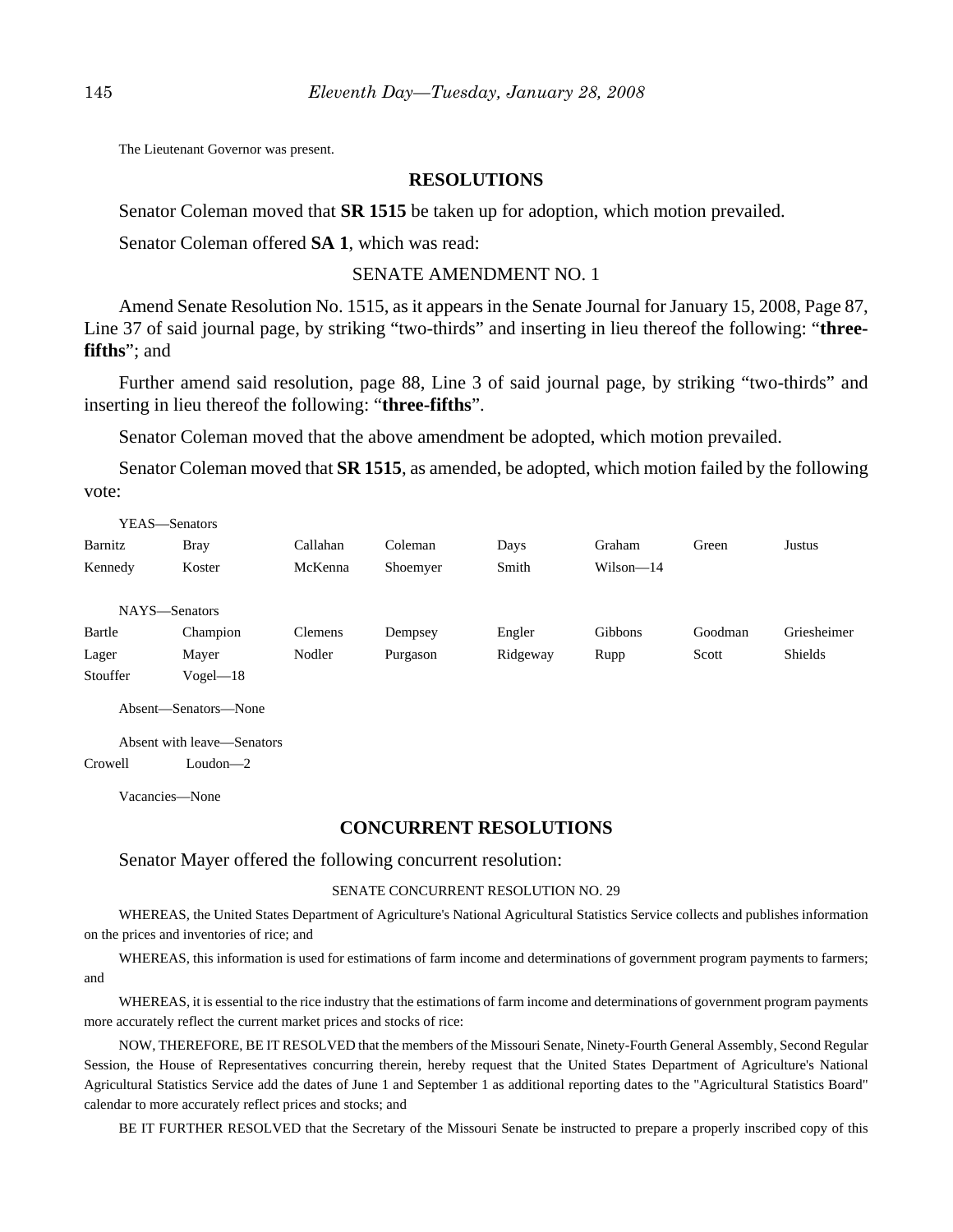The Lieutenant Governor was present.

# **RESOLUTIONS**

Senator Coleman moved that **SR 1515** be taken up for adoption, which motion prevailed.

Senator Coleman offered **SA 1**, which was read:

# SENATE AMENDMENT NO. 1

Amend Senate Resolution No. 1515, as it appears in the Senate Journal for January 15, 2008, Page 87, Line 37 of said journal page, by striking "two-thirds" and inserting in lieu thereof the following: "**threefifths**"; and

Further amend said resolution, page 88, Line 3 of said journal page, by striking "two-thirds" and inserting in lieu thereof the following: "**three-fifths**".

Senator Coleman moved that the above amendment be adopted, which motion prevailed.

Senator Coleman moved that **SR 1515**, as amended, be adopted, which motion failed by the following vote:

|          | YEAS—Senators        |                |          |          |             |         |             |
|----------|----------------------|----------------|----------|----------|-------------|---------|-------------|
| Barnitz  | <b>Bray</b>          | Callahan       | Coleman  | Days     | Graham      | Green   | Justus      |
| Kennedy  | Koster               | McKenna        | Shoemyer | Smith    | $Wilson-14$ |         |             |
|          | NAYS-Senators        |                |          |          |             |         |             |
| Bartle   | Champion             | <b>Clemens</b> | Dempsey  | Engler   | Gibbons     | Goodman | Griesheimer |
| Lager    | Mayer                | Nodler         | Purgason | Ridgeway | Rupp        | Scott   | Shields     |
| Stouffer | $Vogel - 18$         |                |          |          |             |         |             |
|          | Absent—Senators—None |                |          |          |             |         |             |

Absent with leave—Senators

Crowell Loudon—2

Vacancies—None

#### **CONCURRENT RESOLUTIONS**

#### Senator Mayer offered the following concurrent resolution:

#### SENATE CONCURRENT RESOLUTION NO. 29

WHEREAS, the United States Department of Agriculture's National Agricultural Statistics Service collects and publishes information on the prices and inventories of rice; and

WHEREAS, this information is used for estimations of farm income and determinations of government program payments to farmers; and

WHEREAS, it is essential to the rice industry that the estimations of farm income and determinations of government program payments more accurately reflect the current market prices and stocks of rice:

NOW, THEREFORE, BE IT RESOLVED that the members of the Missouri Senate, Ninety-Fourth General Assembly, Second Regular Session, the House of Representatives concurring therein, hereby request that the United States Department of Agriculture's National Agricultural Statistics Service add the dates of June 1 and September 1 as additional reporting dates to the "Agricultural Statistics Board" calendar to more accurately reflect prices and stocks; and

BE IT FURTHER RESOLVED that the Secretary of the Missouri Senate be instructed to prepare a properly inscribed copy of this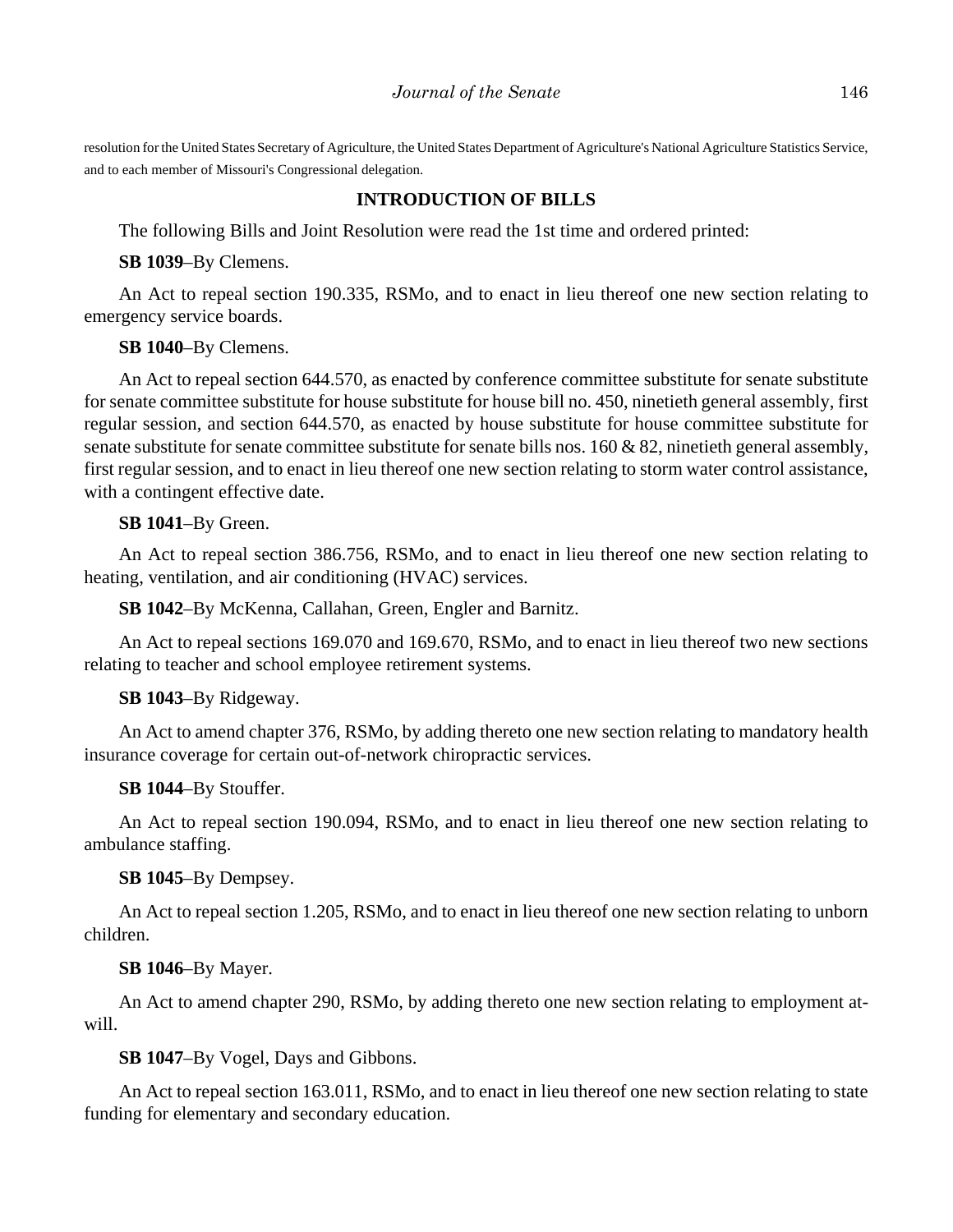resolution for the United States Secretary of Agriculture, the United States Department of Agriculture's National Agriculture Statistics Service, and to each member of Missouri's Congressional delegation.

# **INTRODUCTION OF BILLS**

The following Bills and Joint Resolution were read the 1st time and ordered printed:

**SB 1039**–By Clemens.

An Act to repeal section 190.335, RSMo, and to enact in lieu thereof one new section relating to emergency service boards.

**SB 1040**–By Clemens.

An Act to repeal section 644.570, as enacted by conference committee substitute for senate substitute for senate committee substitute for house substitute for house bill no. 450, ninetieth general assembly, first regular session, and section 644.570, as enacted by house substitute for house committee substitute for senate substitute for senate committee substitute for senate bills nos. 160 & 82, ninetieth general assembly, first regular session, and to enact in lieu thereof one new section relating to storm water control assistance, with a contingent effective date.

# **SB 1041**–By Green.

An Act to repeal section 386.756, RSMo, and to enact in lieu thereof one new section relating to heating, ventilation, and air conditioning (HVAC) services.

**SB 1042**–By McKenna, Callahan, Green, Engler and Barnitz.

An Act to repeal sections 169.070 and 169.670, RSMo, and to enact in lieu thereof two new sections relating to teacher and school employee retirement systems.

# **SB 1043**–By Ridgeway.

An Act to amend chapter 376, RSMo, by adding thereto one new section relating to mandatory health insurance coverage for certain out-of-network chiropractic services.

# **SB 1044**–By Stouffer.

An Act to repeal section 190.094, RSMo, and to enact in lieu thereof one new section relating to ambulance staffing.

# **SB 1045**–By Dempsey.

An Act to repeal section 1.205, RSMo, and to enact in lieu thereof one new section relating to unborn children.

# **SB 1046**–By Mayer.

An Act to amend chapter 290, RSMo, by adding thereto one new section relating to employment atwill.

# **SB 1047**–By Vogel, Days and Gibbons.

An Act to repeal section 163.011, RSMo, and to enact in lieu thereof one new section relating to state funding for elementary and secondary education.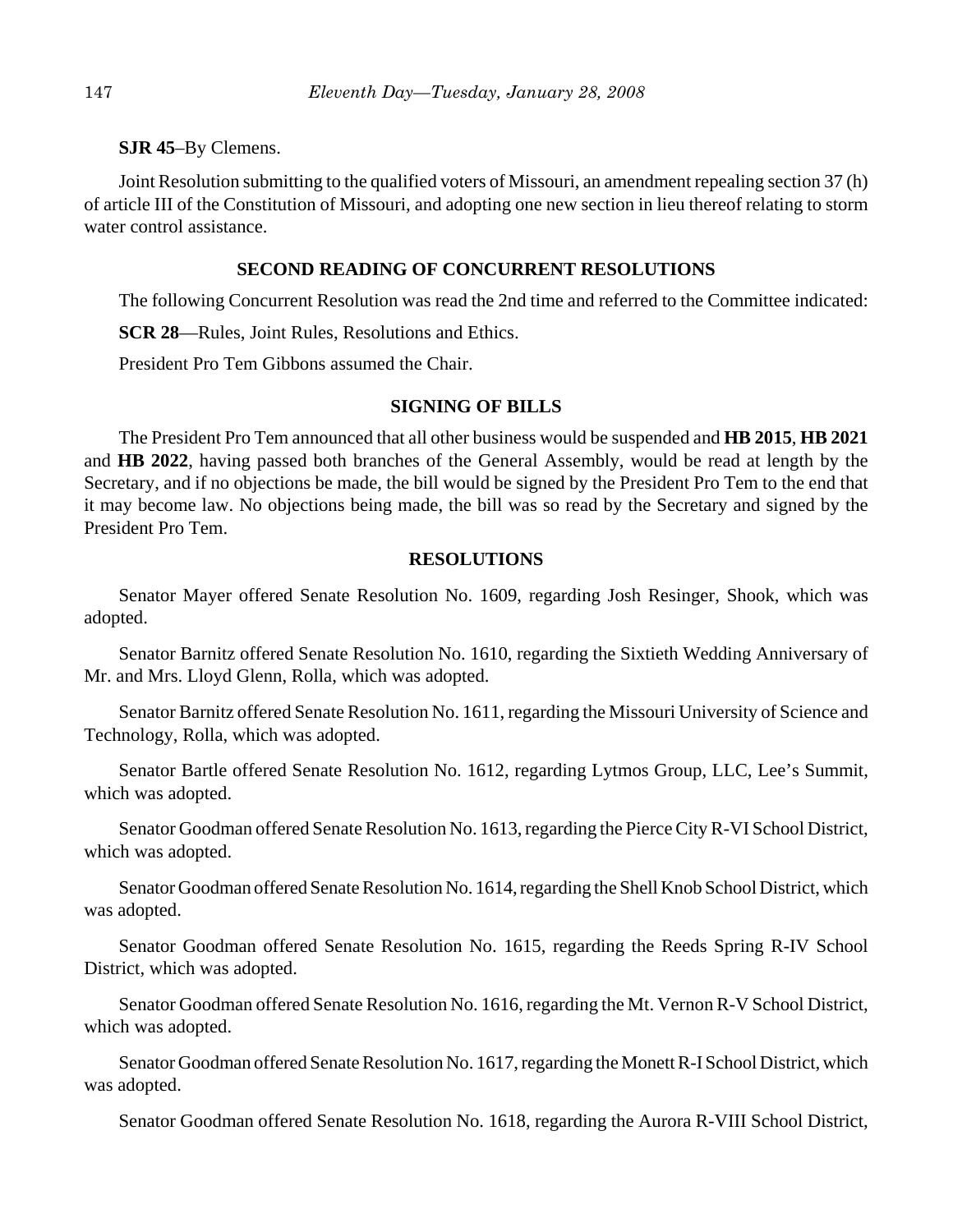**SJR 45**–By Clemens.

Joint Resolution submitting to the qualified voters of Missouri, an amendment repealing section 37 (h) of article III of the Constitution of Missouri, and adopting one new section in lieu thereof relating to storm water control assistance.

# **SECOND READING OF CONCURRENT RESOLUTIONS**

The following Concurrent Resolution was read the 2nd time and referred to the Committee indicated:

**SCR 28**—Rules, Joint Rules, Resolutions and Ethics.

President Pro Tem Gibbons assumed the Chair.

## **SIGNING OF BILLS**

The President Pro Tem announced that all other business would be suspended and **HB 2015**, **HB 2021** and **HB 2022**, having passed both branches of the General Assembly, would be read at length by the Secretary, and if no objections be made, the bill would be signed by the President Pro Tem to the end that it may become law. No objections being made, the bill was so read by the Secretary and signed by the President Pro Tem.

## **RESOLUTIONS**

Senator Mayer offered Senate Resolution No. 1609, regarding Josh Resinger, Shook, which was adopted.

Senator Barnitz offered Senate Resolution No. 1610, regarding the Sixtieth Wedding Anniversary of Mr. and Mrs. Lloyd Glenn, Rolla, which was adopted.

Senator Barnitz offered Senate Resolution No. 1611, regarding the Missouri University of Science and Technology, Rolla, which was adopted.

Senator Bartle offered Senate Resolution No. 1612, regarding Lytmos Group, LLC, Lee's Summit, which was adopted.

Senator Goodman offered Senate Resolution No. 1613, regarding the Pierce City R-VI School District, which was adopted.

Senator Goodman offered Senate Resolution No. 1614, regarding the Shell Knob School District, which was adopted.

Senator Goodman offered Senate Resolution No. 1615, regarding the Reeds Spring R-IV School District, which was adopted.

Senator Goodman offered Senate Resolution No. 1616, regarding the Mt. Vernon R-V School District, which was adopted.

Senator Goodman offered Senate Resolution No. 1617, regarding the Monett R-I School District, which was adopted.

Senator Goodman offered Senate Resolution No. 1618, regarding the Aurora R-VIII School District,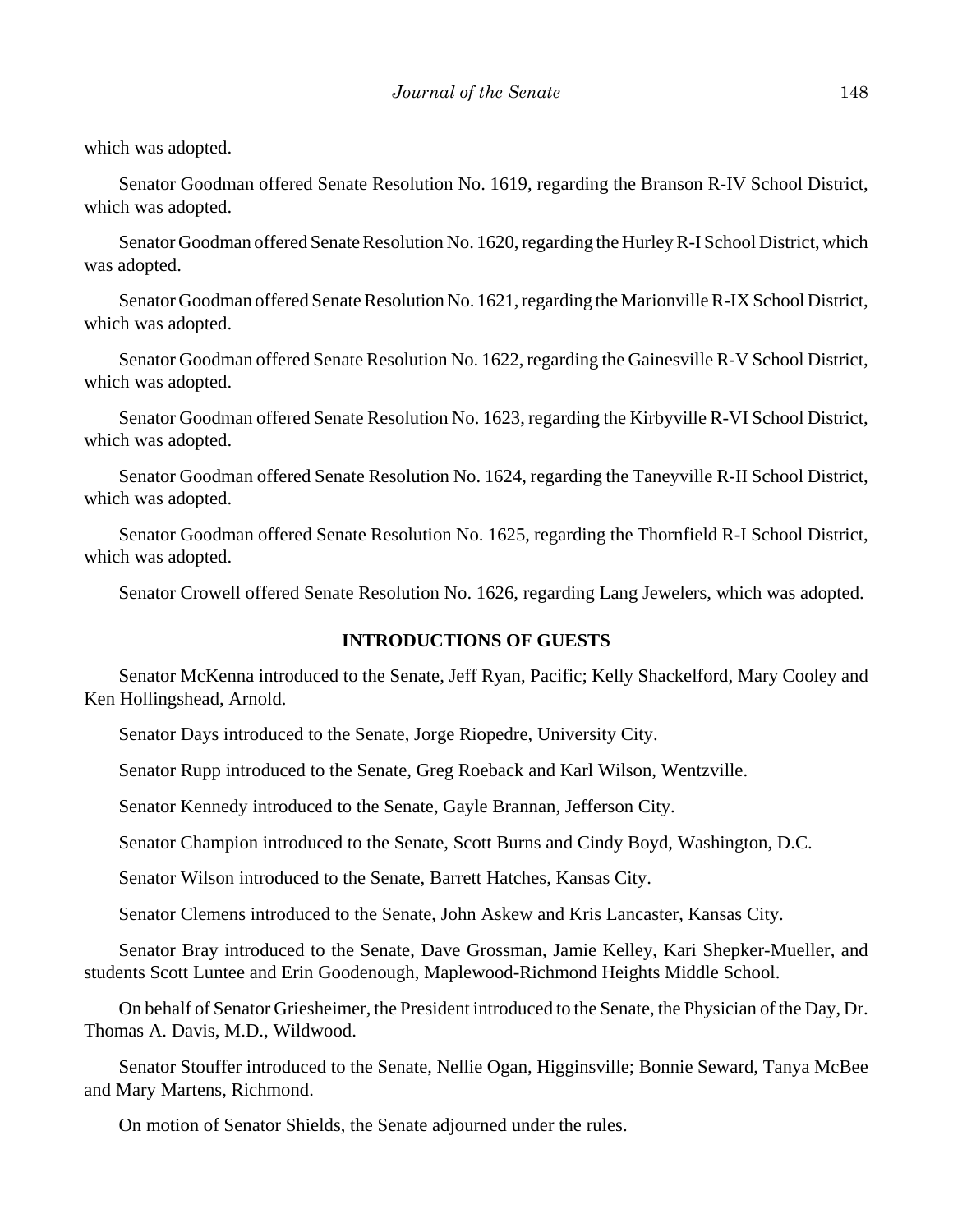which was adopted.

Senator Goodman offered Senate Resolution No. 1619, regarding the Branson R-IV School District, which was adopted.

Senator Goodman offered Senate Resolution No. 1620, regarding the Hurley R-I School District, which was adopted.

Senator Goodman offered Senate Resolution No. 1621, regarding the Marionville R-IX School District, which was adopted.

Senator Goodman offered Senate Resolution No. 1622, regarding the Gainesville R-V School District, which was adopted.

Senator Goodman offered Senate Resolution No. 1623, regarding the Kirbyville R-VI School District, which was adopted.

Senator Goodman offered Senate Resolution No. 1624, regarding the Taneyville R-II School District, which was adopted.

Senator Goodman offered Senate Resolution No. 1625, regarding the Thornfield R-I School District, which was adopted.

Senator Crowell offered Senate Resolution No. 1626, regarding Lang Jewelers, which was adopted.

# **INTRODUCTIONS OF GUESTS**

Senator McKenna introduced to the Senate, Jeff Ryan, Pacific; Kelly Shackelford, Mary Cooley and Ken Hollingshead, Arnold.

Senator Days introduced to the Senate, Jorge Riopedre, University City.

Senator Rupp introduced to the Senate, Greg Roeback and Karl Wilson, Wentzville.

Senator Kennedy introduced to the Senate, Gayle Brannan, Jefferson City.

Senator Champion introduced to the Senate, Scott Burns and Cindy Boyd, Washington, D.C.

Senator Wilson introduced to the Senate, Barrett Hatches, Kansas City.

Senator Clemens introduced to the Senate, John Askew and Kris Lancaster, Kansas City.

Senator Bray introduced to the Senate, Dave Grossman, Jamie Kelley, Kari Shepker-Mueller, and students Scott Luntee and Erin Goodenough, Maplewood-Richmond Heights Middle School.

On behalf of Senator Griesheimer, the President introduced to the Senate, the Physician of the Day, Dr. Thomas A. Davis, M.D., Wildwood.

Senator Stouffer introduced to the Senate, Nellie Ogan, Higginsville; Bonnie Seward, Tanya McBee and Mary Martens, Richmond.

On motion of Senator Shields, the Senate adjourned under the rules.